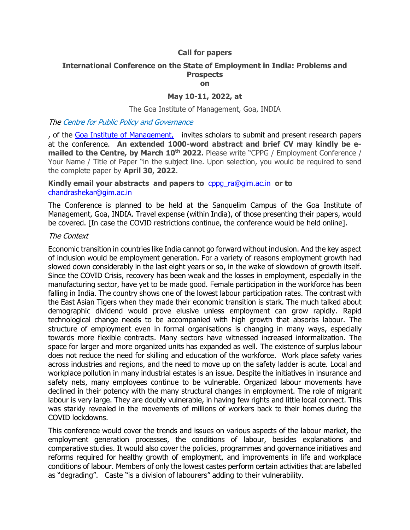# **Call for papers**

# **International Conference on the State of Employment in India: Problems and Prospects**

## **on**

## **May 10-11, 2022, at**

#### The Goa Institute of Management, Goa, INDIA

#### [The Centre for Public Policy and Governance](#page-1-0)

, of the [Goa Institute of Management,](https://gim.ac.in/) invites scholars to submit and present research papers at the conference. **An extended 1000-word abstract and brief CV may kindly be emailed to the Centre, by March 10th 2022.** Please write "CPPG / Employment Conference / Your Name / Title of Paper "in the subject line. Upon selection, you would be required to send the complete paper by **April 30, 2022**.

## **Kindly email your abstracts and papers to** [cppg\\_ra@gim.ac.in](mailto:cppg_ra@gim.ac.in) **or to**  [chandrashekar@gim.ac.in](mailto:chandrashekar@gim.ac.in)

The Conference is planned to be held at the Sanquelim Campus of the Goa Institute of Management, Goa, INDIA. Travel expense (within India), of those presenting their papers, would be covered. [In case the COVID restrictions continue, the conference would be held online].

#### The Context

Economic transition in countries like India cannot go forward without inclusion. And the key aspect of inclusion would be employment generation. For a variety of reasons employment growth had slowed down considerably in the last eight years or so, in the wake of slowdown of growth itself. Since the COVID Crisis, recovery has been weak and the losses in employment, especially in the manufacturing sector, have yet to be made good. Female participation in the workforce has been falling in India. The country shows one of the lowest labour participation rates. The contrast with the East Asian Tigers when they made their economic transition is stark. The much talked about demographic dividend would prove elusive unless employment can grow rapidly. Rapid technological change needs to be accompanied with high growth that absorbs labour. The structure of employment even in formal organisations is changing in many ways, especially towards more flexible contracts. Many sectors have witnessed increased informalization. The space for larger and more organized units has expanded as well. The existence of surplus labour does not reduce the need for skilling and education of the workforce. Work place safety varies across industries and regions, and the need to move up on the safety ladder is acute. Local and workplace pollution in many industrial estates is an issue. Despite the initiatives in insurance and safety nets, many employees continue to be vulnerable. Organized labour movements have declined in their potency with the many structural changes in employment. The role of migrant labour is very large. They are doubly vulnerable, in having few rights and little local connect. This was starkly revealed in the movements of millions of workers back to their homes during the COVID lockdowns.

This conference would cover the trends and issues on various aspects of the labour market, the employment generation processes, the conditions of labour, besides explanations and comparative studies. It would also cover the policies, programmes and governance initiatives and reforms required for healthy growth of employment, and improvements in life and workplace conditions of labour. Members of only the lowest castes perform certain activities that are labelled as "degrading". Caste "is a division of labourers" adding to their vulnerability.